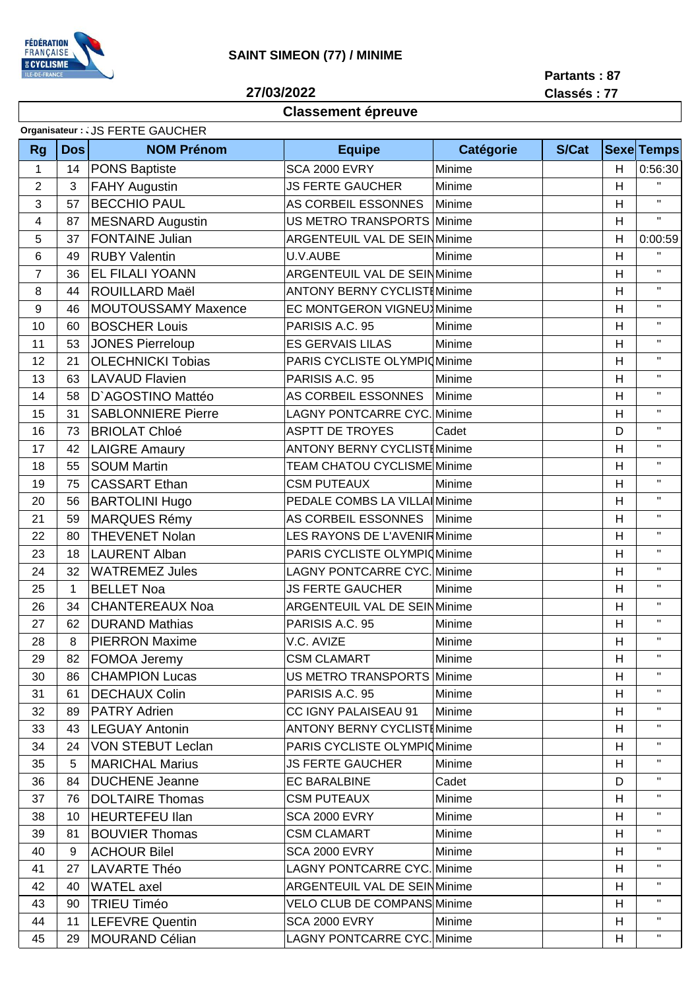

## **SAINT SIMEON (77) / MINIME**

27/03/2022

Partants: 87 Classés: 77

## **Classement épreuve**

| Organisateur : . JS FERTE GAUCHER |            |                            |                                     |                                   |       |                         |                   |
|-----------------------------------|------------|----------------------------|-------------------------------------|-----------------------------------|-------|-------------------------|-------------------|
| <b>Rg</b>                         | <b>Dos</b> | <b>NOM Prénom</b>          | <b>Equipe</b>                       | <b>Catégorie</b>                  | S/Cat |                         | <b>Sexe Temps</b> |
| $\mathbf{1}$                      | 14         | <b>PONS Baptiste</b>       | <b>SCA 2000 EVRY</b>                | Minime                            |       | H                       | 0:56:30           |
| $\overline{2}$                    | 3          | <b>FAHY Augustin</b>       | <b>JS FERTE GAUCHER</b>             | Minime                            |       | H                       | $\mathbf{H}$      |
| 3                                 | 57         | <b>BECCHIO PAUL</b>        | AS CORBEIL ESSONNES<br>Minime       |                                   |       | H                       | $\mathbf{H}$ .    |
| 4                                 | 87         | <b>MESNARD Augustin</b>    | US METRO TRANSPORTS<br>Minime       |                                   |       | H                       | $\mathbf{H}$      |
| 5                                 | 37         | <b>FONTAINE Julian</b>     | <b>ARGENTEUIL VAL DE SEINMinime</b> |                                   |       | H                       | 0:00:59           |
| 6                                 | 49         | <b>RUBY Valentin</b>       | Minime<br>U.V.AUBE                  |                                   |       | H                       | $\mathbf{H}$      |
| $\overline{7}$                    | 36         | <b>EL FILALI YOANN</b>     |                                     | ARGENTEUIL VAL DE SEIN Minime     |       | H                       | $\mathbf H$       |
| 8                                 | 44         | <b>ROUILLARD Maël</b>      | <b>ANTONY BERNY CYCLISTIMinime</b>  |                                   |       | H                       | $\mathbf{H}$      |
| 9                                 | 46         | <b>MOUTOUSSAMY Maxence</b> |                                     | <b>EC MONTGERON VIGNEU</b> Minime |       | H                       | $\mathbf{H}$      |
| 10                                | 60         | <b>BOSCHER Louis</b>       | PARISIS A.C. 95                     | Minime                            |       | H                       | $\mathbf{H}$      |
| 11                                | 53         | <b>JONES Pierreloup</b>    | <b>ES GERVAIS LILAS</b>             | Minime                            |       | H                       | $\mathbf{H}$      |
| 12                                | 21         | <b>OLECHNICKI Tobias</b>   | PARIS CYCLISTE OLYMPIOMinime        |                                   |       | H                       | $\mathbf{H}$      |
| 13                                | 63         | <b>LAVAUD Flavien</b>      | PARISIS A.C. 95                     | Minime                            |       | H                       | $\mathbf{H}$      |
| 14                                | 58         | D'AGOSTINO Mattéo          | AS CORBEIL ESSONNES                 | Minime                            |       | H                       | $\mathbf{H}$      |
| 15                                | 31         | <b>SABLONNIERE Pierre</b>  | <b>LAGNY PONTCARRE CYC. Minime</b>  |                                   |       | H                       | $\mathbf H$       |
| 16                                | 73         | <b>BRIOLAT Chloé</b>       | <b>ASPTT DE TROYES</b>              | Cadet                             |       | D                       | $\mathbf{H}$      |
| 17                                | 42         | <b>LAIGRE Amaury</b>       | <b>ANTONY BERNY CYCLISTIMinime</b>  |                                   |       | H                       | $\mathbf{H}$      |
| 18                                | 55         | <b>SOUM Martin</b>         | TEAM CHATOU CYCLISME Minime         |                                   |       | H                       | $\mathbf{H}$      |
| 19                                | 75         | <b>CASSART Ethan</b>       | <b>CSM PUTEAUX</b>                  | Minime                            |       | H                       | $\mathbf{H}$      |
| 20                                | 56         | <b>BARTOLINI Hugo</b>      | PEDALE COMBS LA VILLA Minime        |                                   |       | H                       | $\mathbf{H}$      |
| 21                                | 59         | <b>MARQUES Rémy</b>        | AS CORBEIL ESSONNES                 | Minime                            |       | H                       | $\mathbf{H}$      |
| 22                                | 80         | <b>THEVENET Nolan</b>      | LES RAYONS DE L'AVENIRMinime        |                                   |       | H                       | $\mathbf{H}$      |
| 23                                | 18         | <b>LAURENT Alban</b>       | PARIS CYCLISTE OLYMPIOMinime        |                                   |       | $\overline{\mathsf{H}}$ | $\mathbf{H}$      |
| 24                                | 32         | <b>WATREMEZ Jules</b>      | <b>LAGNY PONTCARRE CYC. Minime</b>  |                                   |       | H                       | $\mathbf{H}$      |
| 25                                | 1          | <b>BELLET Noa</b>          | <b>JS FERTE GAUCHER</b>             | Minime                            |       | H                       | $\mathbf{H}$      |
| 26                                | 34         | <b>CHANTEREAUX Noa</b>     | <b>ARGENTEUIL VAL DE SEINMinime</b> |                                   |       | H                       | $\mathbf{H}$      |
| 27                                | 62         | <b>DURAND Mathias</b>      | PARISIS A.C. 95                     | Minime                            |       | H                       | $\mathbf{H}$ .    |
| 28                                | 8          | <b>PIERRON Maxime</b>      | V.C. AVIZE                          | Minime                            |       | H                       | $\mathbf{H}$      |
| 29                                | 82         | <b>FOMOA Jeremy</b>        | <b>CSM CLAMART</b>                  | Minime                            |       | Н                       | $\mathbf{H}$      |
| 30                                | 86         | <b>CHAMPION Lucas</b>      | US METRO TRANSPORTS Minime          |                                   |       | H                       | $\mathbf{H}$      |
| 31                                | 61         | <b>DECHAUX Colin</b>       | PARISIS A.C. 95                     | Minime                            |       | Η                       | $\mathbf{H}$      |
| 32                                | 89         | <b>PATRY Adrien</b>        | CC IGNY PALAISEAU 91                | Minime                            |       | H                       | $\mathbf{H}$      |
| 33                                | 43         | <b>LEGUAY Antonin</b>      | <b>ANTONY BERNY CYCLIST (Minime</b> |                                   |       | H                       | $\mathbf{H}$      |
| 34                                | 24         | <b>VON STEBUT Leclan</b>   | PARIS CYCLISTE OLYMPIOMinime        |                                   |       | H                       | $\mathbf{H}$      |
| 35                                | 5          | <b>MARICHAL Marius</b>     | <b>JS FERTE GAUCHER</b>             | Minime                            |       | H                       | $\mathbf{H}$      |
| 36                                | 84         | <b>DUCHENE Jeanne</b>      | <b>EC BARALBINE</b>                 | Cadet                             |       | D                       | $\mathbf{H}$      |
| 37                                | 76         | <b>DOLTAIRE Thomas</b>     | <b>CSM PUTEAUX</b>                  | Minime                            |       | H                       | $\mathbf{H}$      |
| 38                                | 10         | <b>HEURTEFEU llan</b>      | <b>SCA 2000 EVRY</b>                | Minime                            |       | H                       | $\mathbf{H}$      |
| 39                                | 81         | <b>BOUVIER Thomas</b>      | <b>CSM CLAMART</b>                  | Minime                            |       | H                       | п.                |
| 40                                | 9          | <b>ACHOUR Bilel</b>        | <b>SCA 2000 EVRY</b>                | Minime                            |       | H                       | $\mathbf{H}$      |
| 41                                | 27         | LAVARTE Théo               | LAGNY PONTCARRE CYC. Minime         |                                   |       | H                       | $\mathbf{H}$      |
| 42                                | 40         | <b>WATEL</b> axel          | ARGENTEUIL VAL DE SEINMinime        |                                   |       | H                       | $\mathbf{H}$      |
| 43                                | 90         | <b>TRIEU Timéo</b>         | <b>VELO CLUB DE COMPANS Minime</b>  |                                   |       | H                       | $\mathbf{H}$      |
| 44                                | 11         | LEFEVRE Quentin            | <b>SCA 2000 EVRY</b>                | Minime                            |       | H                       | $\mathbf{H}$      |
| 45                                | 29         | <b>MOURAND Célian</b>      | LAGNY PONTCARRE CYC. Minime         |                                   |       | H                       | $\mathbf{H}$      |